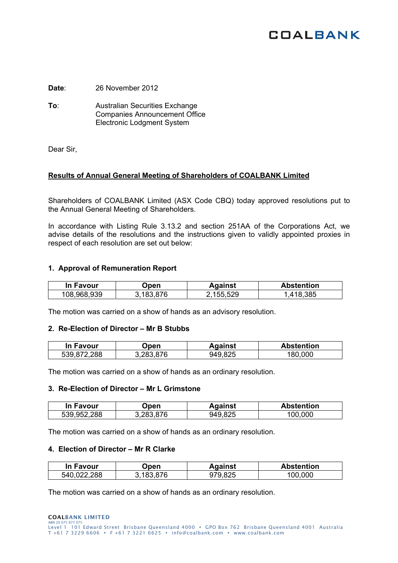# **COALBANK**

**Date**: 26 November 2012

**To**: Australian Securities Exchange Companies Announcement Office Electronic Lodgment System

Dear Sir,

# **Results of Annual General Meeting of Shareholders of COALBANK Limited**

Shareholders of COALBANK Limited (ASX Code CBQ) today approved resolutions put to the Annual General Meeting of Shareholders.

In accordance with Listing Rule 3.13.2 and section 251AA of the Corporations Act, we advise details of the resolutions and the instructions given to validly appointed proxies in respect of each resolution are set out below:

## **1. Approval of Remuneration Report**

| In Favour   | <b>Jpen</b> | Against  | <b>Abstention</b> |
|-------------|-------------|----------|-------------------|
| 108,968,939 | 183.876     | ,155,529 | 18,385            |

The motion was carried on a show of hands as an advisory resolution.

## **2. Re-Election of Director – Mr B Stubbs**

| In Favour   | Open      | Against | <b>Abstention</b> |
|-------------|-----------|---------|-------------------|
| 539,872,288 | 3,283,876 | 949,825 | 180,000           |

The motion was carried on a show of hands as an ordinary resolution.

#### **3. Re-Election of Director – Mr L Grimstone**

| In Favour   | )pen    | Against | <b>Abstention</b> |
|-------------|---------|---------|-------------------|
| 539,952,288 | 283.876 | 949,825 | .000<br>00.       |

The motion was carried on a show of hands as an ordinary resolution.

## **4. Election of Director – Mr R Clarke**

| In Favour       | Jpen.  | Against | <b>Abstention</b> |
|-----------------|--------|---------|-------------------|
| .288<br>540,022 | 183876 | 979,825 | .000<br>100       |

The motion was carried on a show of hands as an ordinary resolution.